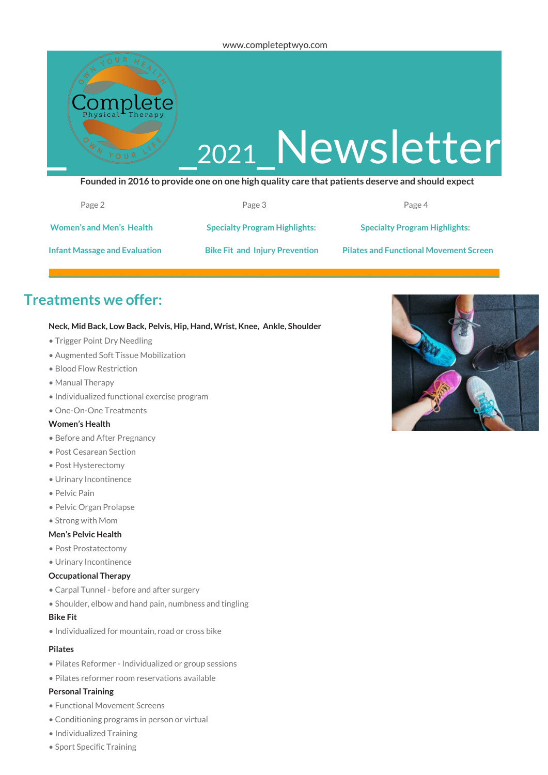

| Page 2                               | Page 3                                | Page 4                                        |
|--------------------------------------|---------------------------------------|-----------------------------------------------|
| <b>Women's and Men's Health</b>      | <b>Specialty Program Highlights:</b>  | <b>Specialty Program Highlights:</b>          |
| <b>Infant Massage and Evaluation</b> | <b>Bike Fit and Injury Prevention</b> | <b>Pilates and Functional Movement Screen</b> |

# **Treatments we offer:**

### **Neck, Mid Back, Low Back, Pelvis, Hip, Hand, Wrist, Knee, Ankle, Shoulder**

- Trigger Point Dry Needling
- Augmented Soft Tissue Mobilization
- Blood Flow Restriction
- Manual Therapy
- Individualized functional exercise program
- One-On-One Treatments

### **Women's Health**

- Before and After Pregnancy
- Post Cesarean Section
- Post Hysterectomy
- Urinary Incontinence
- Pelvic Pain
- Pelvic Organ Prolapse
- Strong with Mom

### **Men's Pelvic Health**

- Post Prostatectomy
- Urinary Incontinence

### **Occupational Therapy**

- Carpal Tunnel before and after surgery
- Shoulder, elbow and hand pain, numbness and tingling

### **Bike Fit**

• Individualized for mountain, road or cross bike

### **Pilates**

- Pilates Reformer Individualized or group sessions
- Pilates reformer room reservations available

### **Personal Training**

- Functional Movement Screens
- Conditioning programs in person or virtual
- Individualized Training
- Sport Specific Training

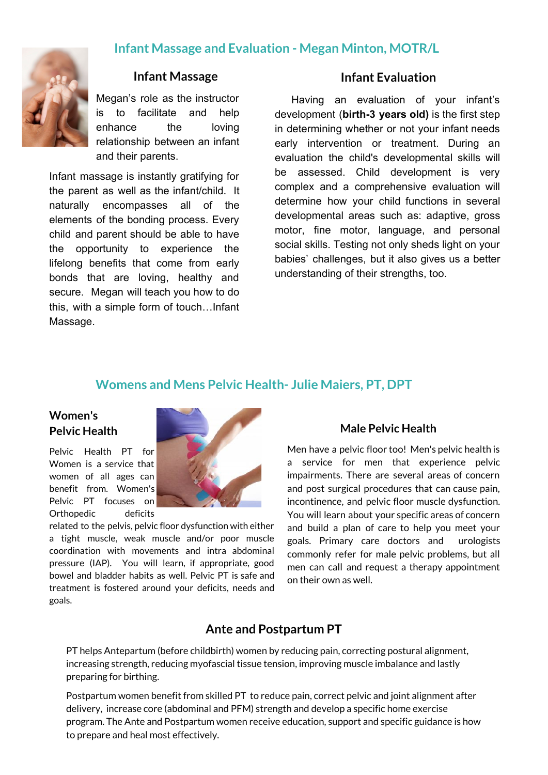## **Infant Massage and Evaluation - Megan Minton, MOTR/L**



## **Infant Massage**

Megan's role as the instructor is to facilitate and help enhance the loving relationship between an infant and their parents.

Infant massage is instantly gratifying for the parent as well as the infant/child. It naturally encompasses all of the elements of the bonding process. Every child and parent should be able to have the opportunity to experience the lifelong benefits that come from early bonds that are loving, healthy and secure. Megan will teach you how to do this, with a simple form of touch…Infant Massage.

## **Infant Evaluation**

Having an evaluation of your infant's development (**birth-3 years old)** is the first step in determining whether or not your infant needs early intervention or treatment. During an evaluation the child's developmental skills will be assessed. Child development is very complex and a comprehensive evaluation will determine how your child functions in several developmental areas such as: adaptive, gross motor, fine motor, language, and personal social skills. Testing not only sheds light on your babies' challenges, but it also gives us a better understanding of their strengths, too.

## **Womens and Mens Pelvic Health- Julie Maiers, PT, DPT**

## **Women's Pelvic Health**

Pelvic Health PT for Women is a service that women of all ages can benefit from. Women's Pelvic PT focuses on

Orthopedic deficits related to the pelvis, pelvic floor dysfunction with either a tight muscle, weak muscle and/or poor muscle coordination with movements and intra abdominal pressure (IAP). You will learn, if appropriate, good bowel and bladder habits as well. Pelvic PT is safe and treatment is fostered around your deficits, needs and goals.

# Men have a pelvic floor too! Men's pelvic health is

**Male Pelvic Health**

a service for men that experience pelvic impairments. There are several areas of concern and post surgical procedures that can cause pain, incontinence, and pelvic floor muscle dysfunction. You will learn about your specific areas of concern and build a plan of care to help you meet your goals. Primary care doctors and urologists commonly refer for male pelvic problems, but all men can call and request a therapy appointment on their own as well.

## **Ante and Postpartum PT**

PT helps Antepartum (before childbirth) women by reducing pain, correcting postural alignment, increasing strength, reducing myofascial tissue tension, improving muscle imbalance and lastly preparing for birthing.

Postpartum women benefit from skilled PT to reduce pain, correct pelvic and joint alignment after delivery, increase core (abdominal and PFM) strength and develop a specific home exercise program. The Ante and Postpartum women receive education, support and specific guidance is how to prepare and heal most effectively.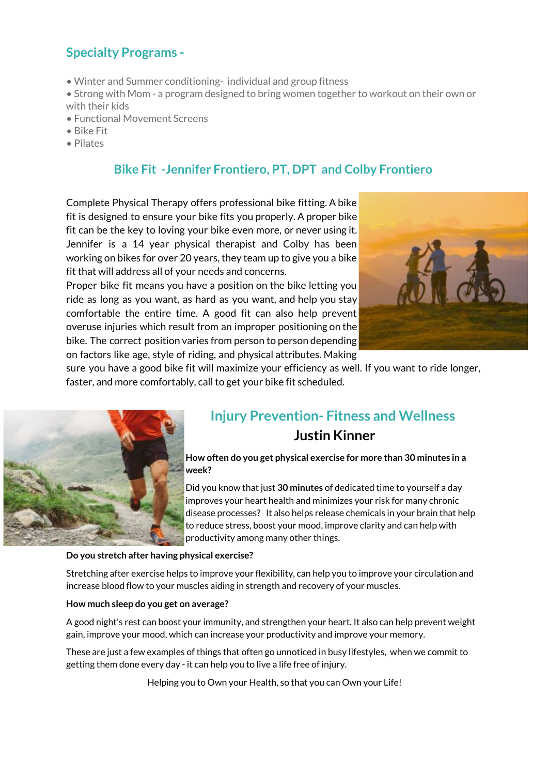# **Specialty Programs -**

- Winter and Summer conditioning- individual and group fitness
- Strong with Mom a program designed to bring women together to workout on their own or with their kids
- Functional Movement Screens
- Bike Fit
- Pilates

## **Bike Fit -Jennifer Frontiero, PT, DPT and Colby Frontiero**

Complete Physical Therapy offers professional bike fitting. A bike fit is designed to ensure your bike fits you properly. A proper bike fit can be the key to loving your bike even more, or never using it. Jennifer is a 14 year physical therapist and Colby has been working on bikes for over 20 years, they team up to give you a bike fit that will address all of your needs and concerns.

Proper bike fit means you have a position on the bike letting you ride as long as you want, as hard as you want, and help you stay comfortable the entire time. A good fit can also help prevent overuse injuries which result from an improper positioning on the bike. The correct position varies from person to person depending on factors like age, style of riding, and physical attributes. Making



sure you have a good bike fit will maximize your efficiency as well. If you want to ride longer, faster, and more comfortably, call to get your bike fit scheduled.



# **Injury Prevention- Fitness and Wellness Justin Kinner**

**How often do you get physical exercise for more than 30 minutes in a week?**

Did you know that just **30 minutes** of dedicated time to yourself a day improves your heart health and minimizes your risk for many chronic disease processes? It also helps release chemicals in your brain that help to reduce stress, boost your mood, improve clarity and can help with productivity among many other things.

## **Do you stretch after having physical exercise?**

Stretching after exercise helps to improve your flexibility, can help you to improve your circulation and increase blood flow to your muscles aiding in strength and recovery of your muscles.

## **How much sleep do you get on average?**

A good night's rest can boost your immunity, and strengthen your heart. It also can help prevent weight gain, improve your mood, which can increase your productivity and improve your memory.

These are just a few examples of things that often go unnoticed in busy lifestyles, when we commit to getting them done every day - it can help you to live a life free of injury.

Helping you to Own your Health, so that you can Own your Life!